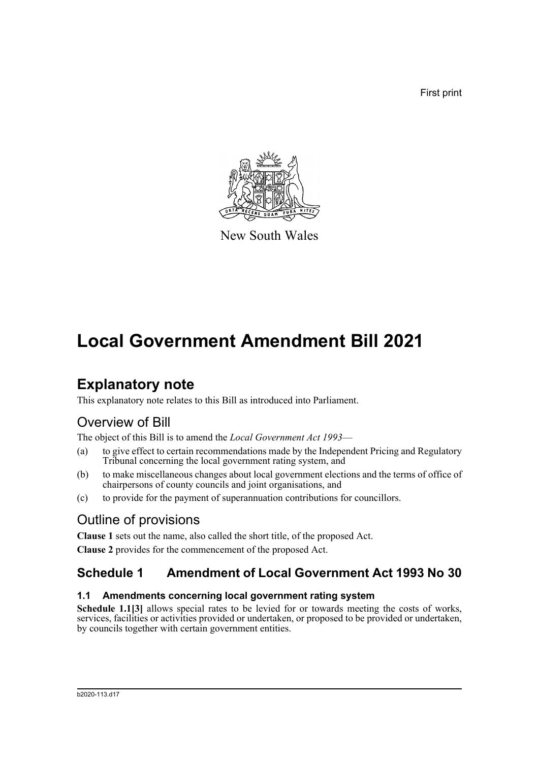First print



New South Wales

# **Local Government Amendment Bill 2021**

## **Explanatory note**

This explanatory note relates to this Bill as introduced into Parliament.

### Overview of Bill

The object of this Bill is to amend the *Local Government Act 1993*—

- (a) to give effect to certain recommendations made by the Independent Pricing and Regulatory Tribunal concerning the local government rating system, and
- (b) to make miscellaneous changes about local government elections and the terms of office of chairpersons of county councils and joint organisations, and
- (c) to provide for the payment of superannuation contributions for councillors.

### Outline of provisions

**Clause 1** sets out the name, also called the short title, of the proposed Act. **Clause 2** provides for the commencement of the proposed Act.

### **Schedule 1 Amendment of Local Government Act 1993 No 30**

### **1.1 Amendments concerning local government rating system**

Schedule 1.1<sup>[3]</sup> allows special rates to be levied for or towards meeting the costs of works, services, facilities or activities provided or undertaken, or proposed to be provided or undertaken, by councils together with certain government entities.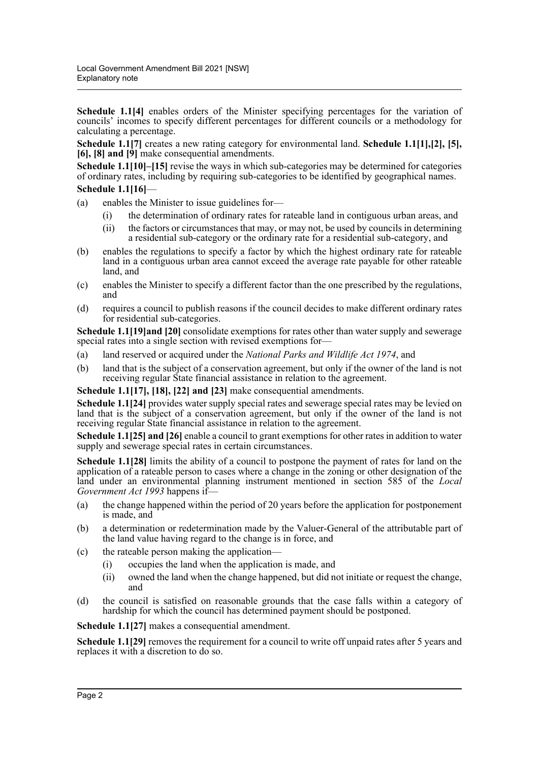**Schedule 1.1<sup>[4]</sup>** enables orders of the Minister specifying percentages for the variation of councils' incomes to specify different percentages for different councils or a methodology for calculating a percentage.

**Schedule 1.1[7]** creates a new rating category for environmental land. **Schedule 1.1[1],[2], [5], [6], [8] and [9]** make consequential amendments.

**Schedule 1.1[10]–[15]** revise the ways in which sub-categories may be determined for categories of ordinary rates, including by requiring sub-categories to be identified by geographical names. **Schedule 1.1[16]**—

### (a) enables the Minister to issue guidelines for—

- (i) the determination of ordinary rates for rateable land in contiguous urban areas, and
- (ii) the factors or circumstances that may, or may not, be used by councils in determining a residential sub-category or the ordinary rate for a residential sub-category, and
- (b) enables the regulations to specify a factor by which the highest ordinary rate for rateable land in a contiguous urban area cannot exceed the average rate payable for other rateable land, and
- (c) enables the Minister to specify a different factor than the one prescribed by the regulations, and
- (d) requires a council to publish reasons if the council decides to make different ordinary rates for residential sub-categories.

**Schedule 1.1[19]and [20]** consolidate exemptions for rates other than water supply and sewerage special rates into a single section with revised exemptions for—

- (a) land reserved or acquired under the *National Parks and Wildlife Act 1974*, and
- (b) land that is the subject of a conservation agreement, but only if the owner of the land is not receiving regular State financial assistance in relation to the agreement.

**Schedule 1.1[17], [18], [22] and [23]** make consequential amendments.

**Schedule 1.1[24]** provides water supply special rates and sewerage special rates may be levied on land that is the subject of a conservation agreement, but only if the owner of the land is not receiving regular State financial assistance in relation to the agreement.

**Schedule 1.1[25] and [26]** enable a council to grant exemptions for other rates in addition to water supply and sewerage special rates in certain circumstances.

**Schedule 1.1[28]** limits the ability of a council to postpone the payment of rates for land on the application of a rateable person to cases where a change in the zoning or other designation of the land under an environmental planning instrument mentioned in section 585 of the *Local Government Act 1993* happens if—

- (a) the change happened within the period of 20 years before the application for postponement is made, and
- (b) a determination or redetermination made by the Valuer-General of the attributable part of the land value having regard to the change is in force, and
- (c) the rateable person making the application—
	- (i) occupies the land when the application is made, and
	- (ii) owned the land when the change happened, but did not initiate or request the change, and
- (d) the council is satisfied on reasonable grounds that the case falls within a category of hardship for which the council has determined payment should be postponed.

**Schedule 1.1[27]** makes a consequential amendment.

**Schedule 1.1[29]** removes the requirement for a council to write off unpaid rates after 5 years and replaces it with a discretion to do so.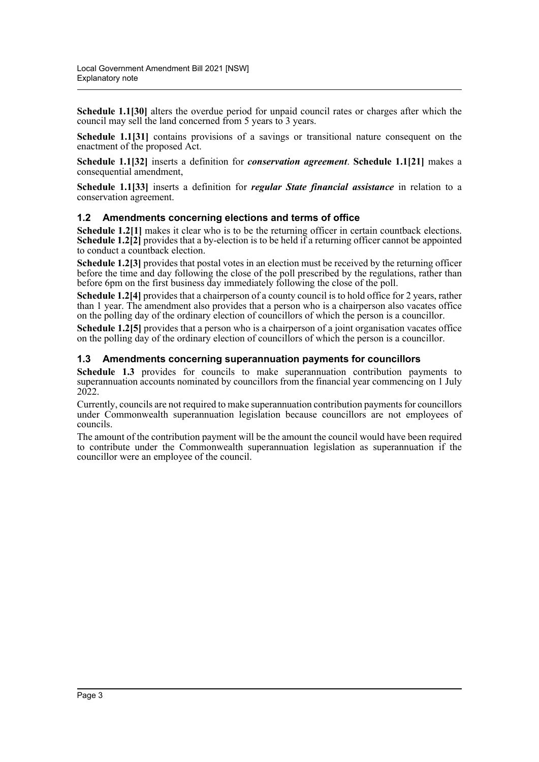**Schedule 1.1[30]** alters the overdue period for unpaid council rates or charges after which the council may sell the land concerned from 5 years to 3 years.

**Schedule 1.1[31]** contains provisions of a savings or transitional nature consequent on the enactment of the proposed Act.

**Schedule 1.1[32]** inserts a definition for *conservation agreement*. **Schedule 1.1[21]** makes a consequential amendment,

**Schedule 1.1[33]** inserts a definition for *regular State financial assistance* in relation to a conservation agreement.

#### **1.2 Amendments concerning elections and terms of office**

Schedule 1.2<sup>[1]</sup> makes it clear who is to be the returning officer in certain countback elections. **Schedule 1.2[2]** provides that a by-election is to be held if a returning officer cannot be appointed to conduct a countback election.

**Schedule 1.2[3]** provides that postal votes in an election must be received by the returning officer before the time and day following the close of the poll prescribed by the regulations, rather than before 6pm on the first business day immediately following the close of the poll.

**Schedule 1.2[4]** provides that a chairperson of a county council is to hold office for 2 years, rather than 1 year. The amendment also provides that a person who is a chairperson also vacates office on the polling day of the ordinary election of councillors of which the person is a councillor.

**Schedule 1.2[5]** provides that a person who is a chairperson of a joint organisation vacates office on the polling day of the ordinary election of councillors of which the person is a councillor.

#### **1.3 Amendments concerning superannuation payments for councillors**

**Schedule 1.3** provides for councils to make superannuation contribution payments to superannuation accounts nominated by councillors from the financial year commencing on 1 July 2022.

Currently, councils are not required to make superannuation contribution payments for councillors under Commonwealth superannuation legislation because councillors are not employees of councils.

The amount of the contribution payment will be the amount the council would have been required to contribute under the Commonwealth superannuation legislation as superannuation if the councillor were an employee of the council.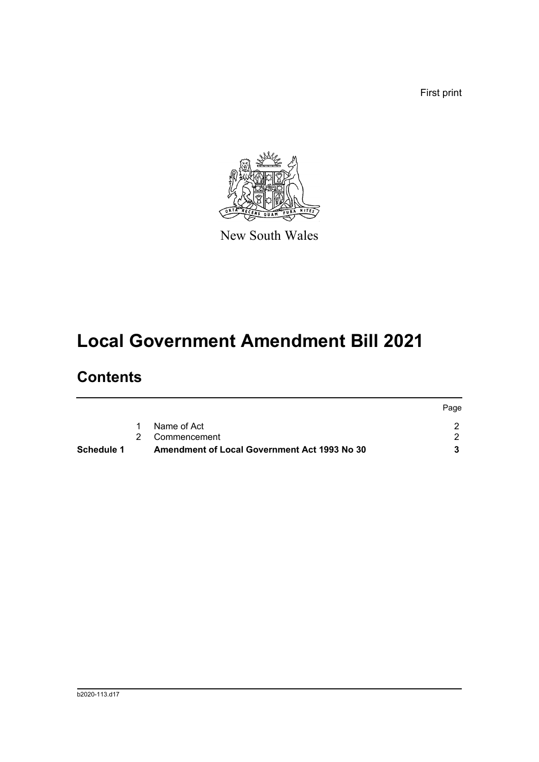First print



New South Wales

## **Local Government Amendment Bill 2021**

### **Contents**

|            |                                              | Page |
|------------|----------------------------------------------|------|
|            | Name of Act                                  |      |
|            | 2 Commencement                               |      |
| Schedule 1 | Amendment of Local Government Act 1993 No 30 |      |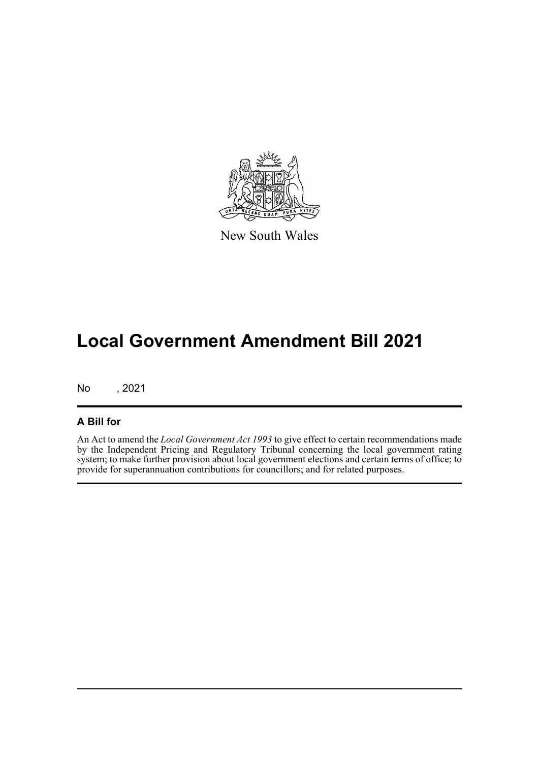

New South Wales

## **Local Government Amendment Bill 2021**

No , 2021

#### **A Bill for**

An Act to amend the *Local Government Act 1993* to give effect to certain recommendations made by the Independent Pricing and Regulatory Tribunal concerning the local government rating system; to make further provision about local government elections and certain terms of office; to provide for superannuation contributions for councillors; and for related purposes.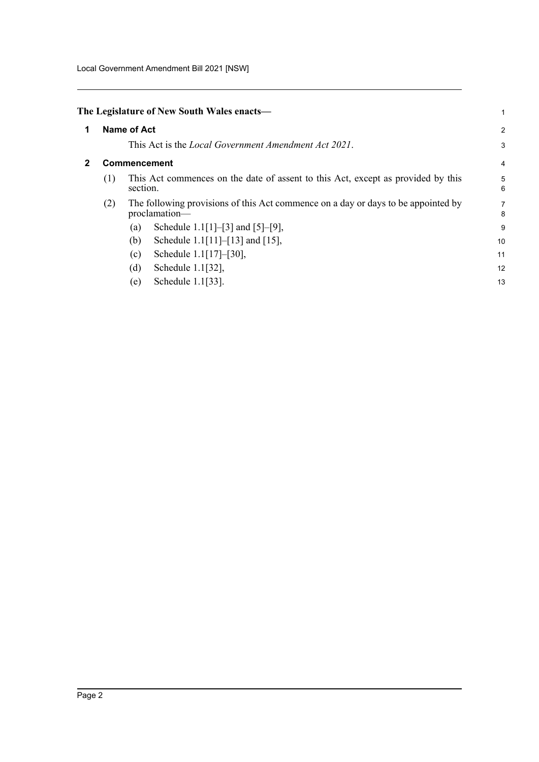Local Government Amendment Bill 2021 [NSW]

<span id="page-5-1"></span><span id="page-5-0"></span>

|   |     | The Legislature of New South Wales enacts—                                                         | 1              |
|---|-----|----------------------------------------------------------------------------------------------------|----------------|
| 1 |     | <b>Name of Act</b>                                                                                 | $\overline{a}$ |
|   |     | This Act is the <i>Local Government Amendment Act 2021</i> .                                       | 3              |
| 2 |     | <b>Commencement</b>                                                                                | 4              |
|   | (1) | This Act commences on the date of assent to this Act, except as provided by this<br>section.       | 5<br>6         |
|   | (2) | The following provisions of this Act commence on a day or days to be appointed by<br>proclamation- | 7<br>8         |
|   |     | Schedule 1.1[1]-[3] and [5]-[9],<br>(a)                                                            | 9              |
|   |     | Schedule 1.1 $[11]$ – $[13]$ and $[15]$ ,<br>(b)                                                   | 10             |
|   |     | Schedule $1.1[17]$ -[30],<br>(c)                                                                   | 11             |
|   |     | (d)<br>Schedule 1.1[32],                                                                           | 12             |
|   |     | Schedule 1.1[33].<br>(e)                                                                           | 13             |
|   |     |                                                                                                    |                |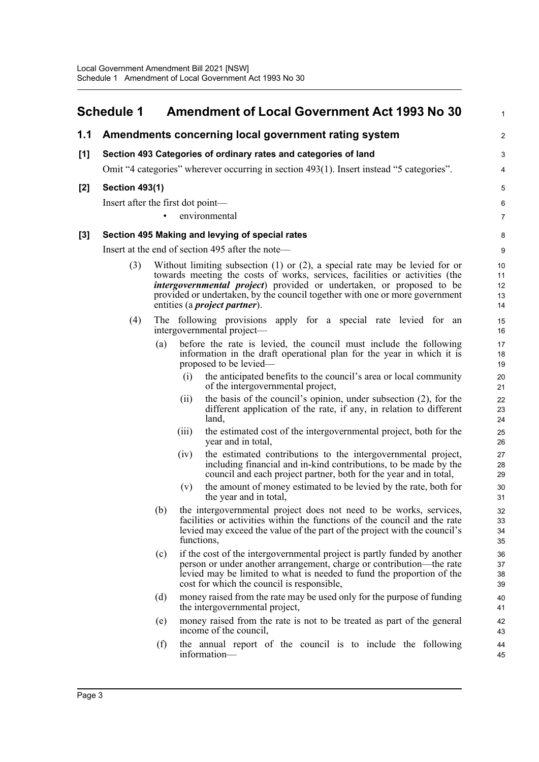#### <span id="page-6-0"></span>**Schedule 1 Amendment of Local Government Act 1993 No 30 1.1 Amendments concerning local government rating system [1] Section 493 Categories of ordinary rates and categories of land** Omit "4 categories" wherever occurring in section 493(1). Insert instead "5 categories". **[2] Section 493(1)** Insert after the first dot point environmental **[3] Section 495 Making and levying of special rates** Insert at the end of section 495 after the note— (3) Without limiting subsection (1) or (2), a special rate may be levied for or towards meeting the costs of works, services, facilities or activities (the *intergovernmental project*) provided or undertaken, or proposed to be provided or undertaken, by the council together with one or more government entities (a *project partner*). (4) The following provisions apply for a special rate levied for an intergovernmental project— (a) before the rate is levied, the council must include the following information in the draft operational plan for the year in which it is proposed to be levied— (i) the anticipated benefits to the council's area or local community of the intergovernmental project, (ii) the basis of the council's opinion, under subsection (2), for the different application of the rate, if any, in relation to different land, (iii) the estimated cost of the intergovernmental project, both for the year and in total, (iv) the estimated contributions to the intergovernmental project, including financial and in-kind contributions, to be made by the council and each project partner, both for the year and in total, (v) the amount of money estimated to be levied by the rate, both for the year and in total, (b) the intergovernmental project does not need to be works, services, facilities or activities within the functions of the council and the rate levied may exceed the value of the part of the project with the council's functions, (c) if the cost of the intergovernmental project is partly funded by another person or under another arrangement, charge or contribution—the rate levied may be limited to what is needed to fund the proportion of the cost for which the council is responsible, (d) money raised from the rate may be used only for the purpose of funding the intergovernmental project, (e) money raised from the rate is not to be treated as part of the general income of the council, (f) the annual report of the council is to include the following information— 1  $\mathfrak{D}$ 3 4 5 6 7 8 9 10 11 12 13 14 15 16 17 18 19  $20$ 21 22 23 24 25 26 27 28 29 30 31 32 33 34 35 36 37 38 39 40 41 42 43 44 45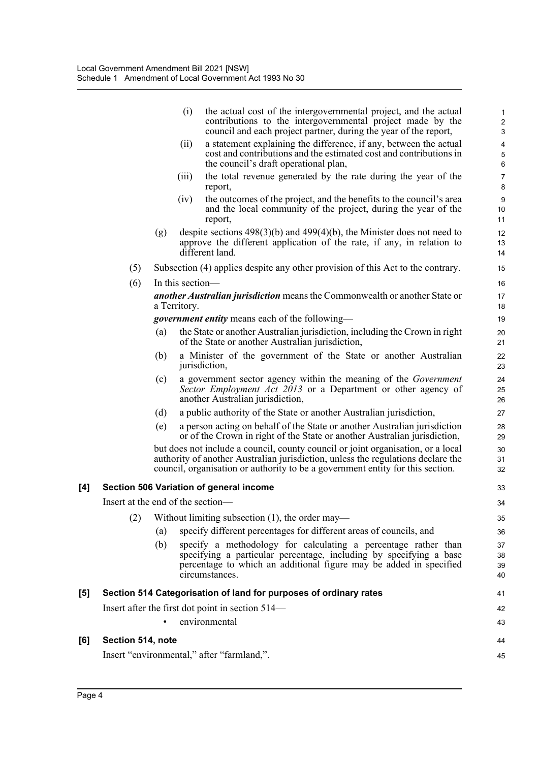|     |                                   |     | (i)              | the actual cost of the intergovernmental project, and the actual<br>contributions to the intergovernmental project made by the<br>council and each project partner, during the year of the report,                                                     | $\mathbf{1}$<br>$\overline{\mathbf{c}}$<br>3 |
|-----|-----------------------------------|-----|------------------|--------------------------------------------------------------------------------------------------------------------------------------------------------------------------------------------------------------------------------------------------------|----------------------------------------------|
|     |                                   |     | (ii)             | a statement explaining the difference, if any, between the actual<br>cost and contributions and the estimated cost and contributions in<br>the council's draft operational plan,                                                                       | $\overline{\mathbf{4}}$<br>$\sqrt{5}$<br>6   |
|     |                                   |     | (iii)            | the total revenue generated by the rate during the year of the<br>report,                                                                                                                                                                              | $\boldsymbol{7}$<br>8                        |
|     |                                   |     | (iv)             | the outcomes of the project, and the benefits to the council's area<br>and the local community of the project, during the year of the<br>report,                                                                                                       | 9<br>10<br>11                                |
|     |                                   | (g) |                  | despite sections $498(3)(b)$ and $499(4)(b)$ , the Minister does not need to<br>approve the different application of the rate, if any, in relation to<br>different land.                                                                               | 12<br>13<br>14                               |
|     | (5)                               |     |                  | Subsection (4) applies despite any other provision of this Act to the contrary.                                                                                                                                                                        | 15                                           |
|     | (6)                               |     | In this section— |                                                                                                                                                                                                                                                        | 16                                           |
|     |                                   |     | a Territory.     | <b>another Australian jurisdiction</b> means the Commonwealth or another State or                                                                                                                                                                      | 17<br>18                                     |
|     |                                   |     |                  | <i>government entity</i> means each of the following—                                                                                                                                                                                                  | 19                                           |
|     |                                   | (a) |                  | the State or another Australian jurisdiction, including the Crown in right<br>of the State or another Australian jurisdiction,                                                                                                                         | 20<br>21                                     |
|     |                                   | (b) |                  | a Minister of the government of the State or another Australian<br>jurisdiction,                                                                                                                                                                       | 22<br>23                                     |
|     |                                   | (c) |                  | a government sector agency within the meaning of the <i>Government</i><br>Sector Employment Act 2013 or a Department or other agency of<br>another Australian jurisdiction,                                                                            | 24<br>25<br>26                               |
|     |                                   | (d) |                  | a public authority of the State or another Australian jurisdiction,                                                                                                                                                                                    | 27                                           |
|     |                                   | (e) |                  | a person acting on behalf of the State or another Australian jurisdiction<br>or of the Crown in right of the State or another Australian jurisdiction,                                                                                                 | 28<br>29                                     |
|     |                                   |     |                  | but does not include a council, county council or joint organisation, or a local<br>authority of another Australian jurisdiction, unless the regulations declare the<br>council, organisation or authority to be a government entity for this section. | 30<br>31<br>32                               |
| [4] |                                   |     |                  | Section 506 Variation of general income                                                                                                                                                                                                                | 33                                           |
|     | Insert at the end of the section- |     |                  |                                                                                                                                                                                                                                                        | 34                                           |
|     | (2)                               |     |                  | Without limiting subsection $(1)$ , the order may—                                                                                                                                                                                                     | 35                                           |
|     |                                   | (a) |                  | specify different percentages for different areas of councils, and                                                                                                                                                                                     | 36                                           |
|     |                                   | (b) |                  | specify a methodology for calculating a percentage rather than<br>specifying a particular percentage, including by specifying a base<br>percentage to which an additional figure may be added in specified<br>circumstances.                           | 37<br>38<br>39<br>40                         |
| [5] |                                   |     |                  | Section 514 Categorisation of land for purposes of ordinary rates                                                                                                                                                                                      | 41                                           |
|     |                                   |     |                  | Insert after the first dot point in section 514—                                                                                                                                                                                                       | 42                                           |
|     |                                   |     |                  | environmental                                                                                                                                                                                                                                          | 43                                           |
| [6] | Section 514, note                 |     |                  |                                                                                                                                                                                                                                                        | 44                                           |
|     |                                   |     |                  | Insert "environmental," after "farmland,".                                                                                                                                                                                                             | 45                                           |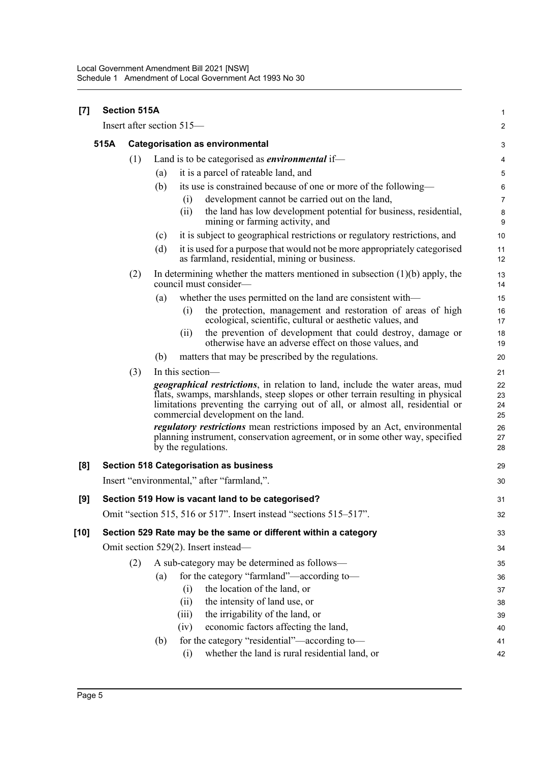| $[7]$  |      | <b>Section 515A</b> |                           |                  |                                                                                                                                                                                                                                                                                        | 1                    |
|--------|------|---------------------|---------------------------|------------------|----------------------------------------------------------------------------------------------------------------------------------------------------------------------------------------------------------------------------------------------------------------------------------------|----------------------|
|        |      |                     | Insert after section 515- |                  |                                                                                                                                                                                                                                                                                        | 2                    |
|        | 515A |                     |                           |                  | <b>Categorisation as environmental</b>                                                                                                                                                                                                                                                 | 3                    |
|        |      | (1)                 |                           |                  | Land is to be categorised as <i>environmental</i> if—                                                                                                                                                                                                                                  | 4                    |
|        |      |                     | (a)                       |                  | it is a parcel of rateable land, and                                                                                                                                                                                                                                                   | 5                    |
|        |      |                     | (b)                       |                  | its use is constrained because of one or more of the following-                                                                                                                                                                                                                        | 6                    |
|        |      |                     |                           | (i)              | development cannot be carried out on the land,                                                                                                                                                                                                                                         | $\overline{7}$       |
|        |      |                     |                           | (ii)             | the land has low development potential for business, residential,<br>mining or farming activity, and                                                                                                                                                                                   | $\bf 8$<br>9         |
|        |      |                     | (c)                       |                  | it is subject to geographical restrictions or regulatory restrictions, and                                                                                                                                                                                                             | 10                   |
|        |      |                     | (d)                       |                  | it is used for a purpose that would not be more appropriately categorised<br>as farmland, residential, mining or business.                                                                                                                                                             | 11<br>12             |
|        |      | (2)                 |                           |                  | In determining whether the matters mentioned in subsection $(1)(b)$ apply, the<br>council must consider—                                                                                                                                                                               | 13<br>14             |
|        |      |                     | (a)                       |                  | whether the uses permitted on the land are consistent with-                                                                                                                                                                                                                            | 15                   |
|        |      |                     |                           | (i)              | the protection, management and restoration of areas of high<br>ecological, scientific, cultural or aesthetic values, and                                                                                                                                                               | 16<br>17             |
|        |      |                     |                           | (i)              | the prevention of development that could destroy, damage or<br>otherwise have an adverse effect on those values, and                                                                                                                                                                   | 18<br>19             |
|        |      |                     | (b)                       |                  | matters that may be prescribed by the regulations.                                                                                                                                                                                                                                     | 20                   |
|        |      | (3)                 |                           | In this section— |                                                                                                                                                                                                                                                                                        | 21                   |
|        |      |                     |                           |                  | geographical restrictions, in relation to land, include the water areas, mud<br>flats, swamps, marshlands, steep slopes or other terrain resulting in physical<br>limitations preventing the carrying out of all, or almost all, residential or<br>commercial development on the land. | 22<br>23<br>24<br>25 |
|        |      |                     |                           |                  | <i>regulatory restrictions</i> mean restrictions imposed by an Act, environmental<br>planning instrument, conservation agreement, or in some other way, specified<br>by the regulations.                                                                                               | 26<br>27<br>28       |
| [8]    |      |                     |                           |                  | <b>Section 518 Categorisation as business</b>                                                                                                                                                                                                                                          | 29                   |
|        |      |                     |                           |                  | Insert "environmental," after "farmland,".                                                                                                                                                                                                                                             | 30                   |
| [9]    |      |                     |                           |                  | Section 519 How is vacant land to be categorised?                                                                                                                                                                                                                                      | 31                   |
|        |      |                     |                           |                  | Omit "section 515, 516 or 517". Insert instead "sections 515-517".                                                                                                                                                                                                                     | 32                   |
| $[10]$ |      |                     |                           |                  | Section 529 Rate may be the same or different within a category                                                                                                                                                                                                                        | 33                   |
|        |      |                     |                           |                  | Omit section 529(2). Insert instead—                                                                                                                                                                                                                                                   | 34                   |
|        |      | (2)                 |                           |                  | A sub-category may be determined as follows-                                                                                                                                                                                                                                           | 35                   |
|        |      |                     | (a)                       |                  | for the category "farmland"—according to-                                                                                                                                                                                                                                              | 36                   |
|        |      |                     |                           | (i)              | the location of the land, or                                                                                                                                                                                                                                                           | 37                   |
|        |      |                     |                           | (ii)             | the intensity of land use, or                                                                                                                                                                                                                                                          | 38                   |
|        |      |                     |                           | (iii)            | the irrigability of the land, or                                                                                                                                                                                                                                                       | 39                   |
|        |      |                     |                           | (iv)             | economic factors affecting the land,                                                                                                                                                                                                                                                   | 40                   |
|        |      |                     | (b)                       | (i)              | for the category "residential"—according to—<br>whether the land is rural residential land, or                                                                                                                                                                                         | 41<br>42             |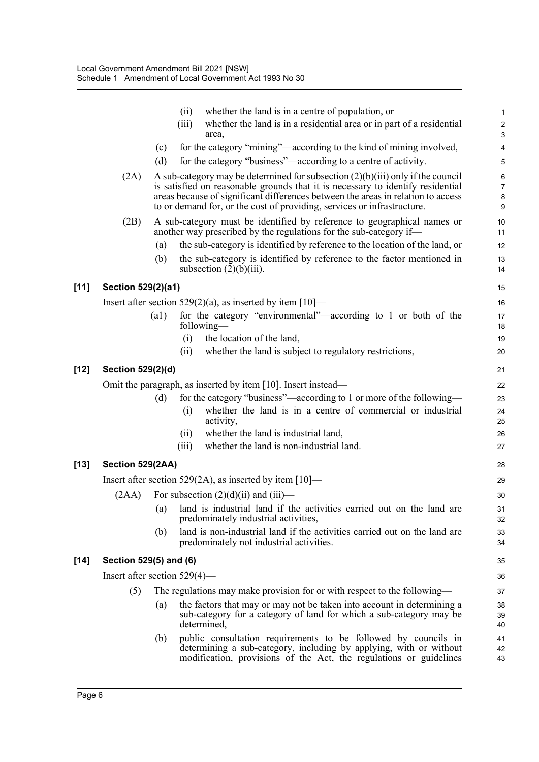|        |                                 |      | (ii)  | whether the land is in a centre of population, or                                                                                                                                                                                                                                                                                   | $\mathbf{1}$                              |
|--------|---------------------------------|------|-------|-------------------------------------------------------------------------------------------------------------------------------------------------------------------------------------------------------------------------------------------------------------------------------------------------------------------------------------|-------------------------------------------|
|        |                                 |      | (iii) | whether the land is in a residential area or in part of a residential<br>area,                                                                                                                                                                                                                                                      | $\sqrt{2}$<br>3                           |
|        |                                 | (c)  |       | for the category "mining"—according to the kind of mining involved,                                                                                                                                                                                                                                                                 | 4                                         |
|        |                                 | (d)  |       | for the category "business"—according to a centre of activity.                                                                                                                                                                                                                                                                      | 5                                         |
|        | (2A)                            |      |       | A sub-category may be determined for subsection $(2)(b)(iii)$ only if the council<br>is satisfied on reasonable grounds that it is necessary to identify residential<br>areas because of significant differences between the areas in relation to access<br>to or demand for, or the cost of providing, services or infrastructure. | $\,6\,$<br>$\boldsymbol{7}$<br>8<br>$9\,$ |
|        | (2B)                            |      |       | A sub-category must be identified by reference to geographical names or<br>another way prescribed by the regulations for the sub-category if—                                                                                                                                                                                       | 10<br>11                                  |
|        |                                 | (a)  |       | the sub-category is identified by reference to the location of the land, or                                                                                                                                                                                                                                                         | 12                                        |
|        |                                 | (b)  |       | the sub-category is identified by reference to the factor mentioned in<br>subsection $(2)(b)(iii)$ .                                                                                                                                                                                                                                | 13<br>14                                  |
| $[11]$ | Section 529(2)(a1)              |      |       |                                                                                                                                                                                                                                                                                                                                     | 15                                        |
|        |                                 |      |       | Insert after section $529(2)(a)$ , as inserted by item [10]—                                                                                                                                                                                                                                                                        | 16                                        |
|        |                                 | (a1) |       | for the category "environmental"-according to 1 or both of the<br>following—                                                                                                                                                                                                                                                        | 17<br>18                                  |
|        |                                 |      | (i)   | the location of the land,                                                                                                                                                                                                                                                                                                           | 19                                        |
|        |                                 |      | (ii)  | whether the land is subject to regulatory restrictions,                                                                                                                                                                                                                                                                             | 20                                        |
| $[12]$ | Section 529(2)(d)               |      |       |                                                                                                                                                                                                                                                                                                                                     | 21                                        |
|        |                                 |      |       | Omit the paragraph, as inserted by item [10]. Insert instead—                                                                                                                                                                                                                                                                       | 22                                        |
|        |                                 | (d)  |       | for the category "business"—according to 1 or more of the following—                                                                                                                                                                                                                                                                | 23                                        |
|        |                                 |      | (i)   | whether the land is in a centre of commercial or industrial<br>activity,                                                                                                                                                                                                                                                            | 24<br>25                                  |
|        |                                 |      | (i)   | whether the land is industrial land,                                                                                                                                                                                                                                                                                                | 26                                        |
|        |                                 |      | (iii) | whether the land is non-industrial land.                                                                                                                                                                                                                                                                                            | 27                                        |
| $[13]$ | Section 529(2AA)                |      |       |                                                                                                                                                                                                                                                                                                                                     | 28                                        |
|        |                                 |      |       | Insert after section 529(2A), as inserted by item $[10]$ —                                                                                                                                                                                                                                                                          | 29                                        |
|        | (2AA)                           |      |       | For subsection $(2)(d)(ii)$ and $(iii)$ —                                                                                                                                                                                                                                                                                           | 30                                        |
|        |                                 |      |       | (a) land is industrial land if the activities carried out on the land are<br>predominately industrial activities,                                                                                                                                                                                                                   | 31<br>32                                  |
|        |                                 | (b)  |       | land is non-industrial land if the activities carried out on the land are<br>predominately not industrial activities.                                                                                                                                                                                                               | 33<br>34                                  |
| $[14]$ | Section 529(5) and (6)          |      |       |                                                                                                                                                                                                                                                                                                                                     | 35                                        |
|        | Insert after section $529(4)$ — |      |       |                                                                                                                                                                                                                                                                                                                                     | 36                                        |
|        | (5)                             |      |       | The regulations may make provision for or with respect to the following—                                                                                                                                                                                                                                                            | 37                                        |
|        |                                 | (a)  |       | the factors that may or may not be taken into account in determining a<br>sub-category for a category of land for which a sub-category may be<br>determined,                                                                                                                                                                        | 38<br>39<br>40                            |
|        |                                 | (b)  |       | public consultation requirements to be followed by councils in<br>determining a sub-category, including by applying, with or without<br>modification, provisions of the Act, the regulations or guidelines                                                                                                                          | 41<br>42<br>43                            |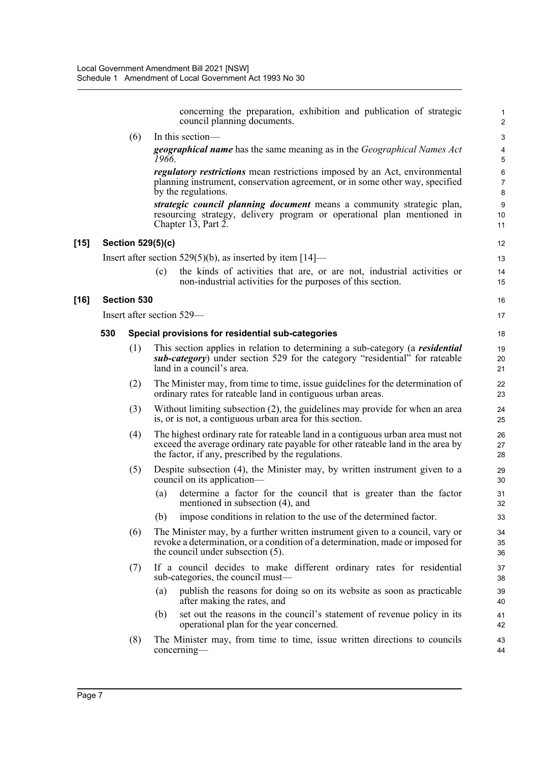|     |                    | concerning the preparation, exhibition and publication of strategic<br>council planning documents.                                                                                                                       | $\mathbf{1}$<br>$\overline{2}$ |
|-----|--------------------|--------------------------------------------------------------------------------------------------------------------------------------------------------------------------------------------------------------------------|--------------------------------|
|     | (6)                | In this section-                                                                                                                                                                                                         | 3                              |
|     |                    | <b>geographical name</b> has the same meaning as in the <i>Geographical Names Act</i><br>1966.                                                                                                                           | $\overline{4}$<br>5            |
|     |                    | <i>regulatory restrictions</i> mean restrictions imposed by an Act, environmental<br>planning instrument, conservation agreement, or in some other way, specified<br>by the regulations.                                 | 6<br>$\overline{7}$<br>8       |
|     |                    | strategic council planning document means a community strategic plan,<br>resourcing strategy, delivery program or operational plan mentioned in<br>Chapter 13, Part 2.                                                   | 9<br>10<br>11                  |
|     |                    | <b>Section 529(5)(c)</b>                                                                                                                                                                                                 | 12                             |
|     |                    | Insert after section 529(5)(b), as inserted by item $[14]$ —                                                                                                                                                             | 13                             |
|     |                    | (c)<br>the kinds of activities that are, or are not, industrial activities or<br>non-industrial activities for the purposes of this section.                                                                             | 14<br>15                       |
|     | <b>Section 530</b> |                                                                                                                                                                                                                          | 16                             |
|     |                    | Insert after section 529—                                                                                                                                                                                                | 17                             |
| 530 |                    | Special provisions for residential sub-categories                                                                                                                                                                        | 18                             |
|     | (1)                | This section applies in relation to determining a sub-category (a <i>residential</i><br>sub-category) under section 529 for the category "residential" for rateable<br>land in a council's area.                         | 19<br>20<br>21                 |
|     | (2)                | The Minister may, from time to time, issue guidelines for the determination of<br>ordinary rates for rateable land in contiguous urban areas.                                                                            | 22<br>23                       |
|     | (3)                | Without limiting subsection (2), the guidelines may provide for when an area<br>is, or is not, a contiguous urban area for this section.                                                                                 | 24<br>25                       |
|     | (4)                | The highest ordinary rate for rateable land in a contiguous urban area must not<br>exceed the average ordinary rate payable for other rateable land in the area by<br>the factor, if any, prescribed by the regulations. | 26<br>27<br>28                 |
|     | (5)                | Despite subsection (4), the Minister may, by written instrument given to a<br>council on its application-                                                                                                                | 29<br>30                       |
|     |                    | determine a factor for the council that is greater than the factor<br>(a)<br>mentioned in subsection (4), and                                                                                                            | 31<br>32                       |
|     |                    | impose conditions in relation to the use of the determined factor.<br>(b)                                                                                                                                                | 33                             |
|     | (6)                | The Minister may, by a further written instrument given to a council, vary or<br>revoke a determination, or a condition of a determination, made or imposed for<br>the council under subsection (5).                     | 34<br>35<br>36                 |
|     | (7)                | If a council decides to make different ordinary rates for residential<br>sub-categories, the council must—                                                                                                               | 37<br>38                       |
|     |                    | publish the reasons for doing so on its website as soon as practicable<br>(a)<br>after making the rates, and                                                                                                             | 39<br>40                       |
|     |                    | set out the reasons in the council's statement of revenue policy in its<br>(b)<br>operational plan for the year concerned.                                                                                               | 41<br>42                       |
|     | (8)                | The Minister may, from time to time, issue written directions to councils<br>$concerning$ —                                                                                                                              | 43<br>44                       |
|     |                    |                                                                                                                                                                                                                          |                                |

 $[15]$ 

**[16]**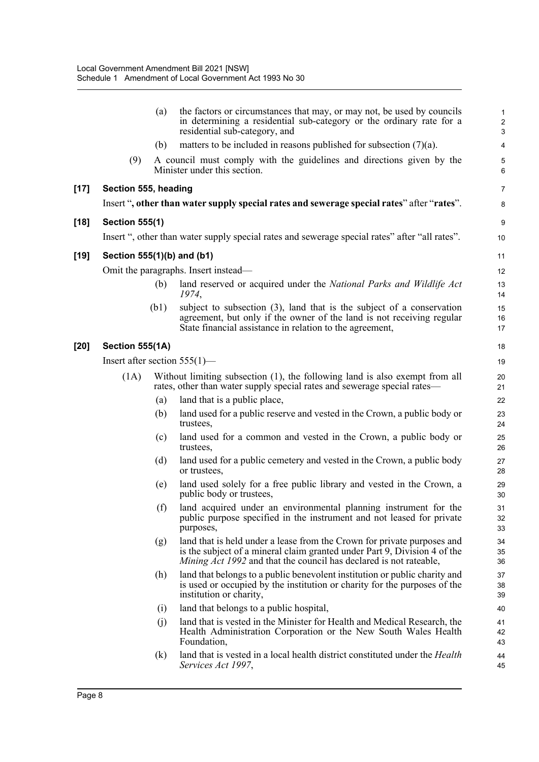|        |                                 | (a)               | the factors or circumstances that may, or may not, be used by councils<br>in determining a residential sub-category or the ordinary rate for a<br>residential sub-category, and                                                   | $\mathbf{1}$<br>$\overline{\mathbf{c}}$<br>3 |
|--------|---------------------------------|-------------------|-----------------------------------------------------------------------------------------------------------------------------------------------------------------------------------------------------------------------------------|----------------------------------------------|
|        |                                 | (b)               | matters to be included in reasons published for subsection $(7)(a)$ .                                                                                                                                                             | $\overline{\mathbf{4}}$                      |
|        | (9)                             |                   | A council must comply with the guidelines and directions given by the<br>Minister under this section.                                                                                                                             | 5<br>$6\phantom{1}6$                         |
| $[17]$ | Section 555, heading            |                   |                                                                                                                                                                                                                                   | $\overline{7}$                               |
|        |                                 |                   | Insert ", other than water supply special rates and sewerage special rates" after "rates".                                                                                                                                        | 8                                            |
| $[18]$ | <b>Section 555(1)</b>           |                   |                                                                                                                                                                                                                                   | 9                                            |
|        |                                 |                   | Insert ", other than water supply special rates and sewerage special rates" after "all rates".                                                                                                                                    | 10                                           |
| $[19]$ | Section 555(1)(b) and (b1)      |                   |                                                                                                                                                                                                                                   | 11                                           |
|        |                                 |                   | Omit the paragraphs. Insert instead—                                                                                                                                                                                              | 12                                           |
|        |                                 | (b)               | land reserved or acquired under the National Parks and Wildlife Act<br>1974,                                                                                                                                                      | 13<br>14                                     |
|        |                                 | (b1)              | subject to subsection $(3)$ , land that is the subject of a conservation<br>agreement, but only if the owner of the land is not receiving regular<br>State financial assistance in relation to the agreement,                     | 15<br>16<br>17                               |
| $[20]$ | <b>Section 555(1A)</b>          |                   |                                                                                                                                                                                                                                   | 18                                           |
|        | Insert after section $555(1)$ — |                   |                                                                                                                                                                                                                                   | 19                                           |
|        | (1A)                            |                   | Without limiting subsection (1), the following land is also exempt from all<br>rates, other than water supply special rates and sewerage special rates—                                                                           | 20<br>21                                     |
|        |                                 | (a)               | land that is a public place,                                                                                                                                                                                                      | 22                                           |
|        |                                 | (b)               | land used for a public reserve and vested in the Crown, a public body or<br>trustees,                                                                                                                                             | 23<br>24                                     |
|        |                                 | (c)               | land used for a common and vested in the Crown, a public body or<br>trustees,                                                                                                                                                     | 25<br>26                                     |
|        |                                 | (d)               | land used for a public cemetery and vested in the Crown, a public body<br>or trustees,                                                                                                                                            | 27<br>28                                     |
|        |                                 | (e)               | land used solely for a free public library and vested in the Crown, a<br>public body or trustees,                                                                                                                                 | 29<br>30                                     |
|        |                                 | (f)               | land acquired under an environmental planning instrument for the<br>public purpose specified in the instrument and not leased for private<br>purposes,                                                                            | 31<br>32<br>33                               |
|        |                                 | (g)               | land that is held under a lease from the Crown for private purposes and<br>is the subject of a mineral claim granted under Part 9, Division 4 of the<br><i>Mining Act 1992</i> and that the council has declared is not rateable, | 34<br>35<br>36                               |
|        |                                 | (h)               | land that belongs to a public benevolent institution or public charity and<br>is used or occupied by the institution or charity for the purposes of the<br>institution or charity,                                                | 37<br>38<br>39                               |
|        |                                 | (i)               | land that belongs to a public hospital,                                                                                                                                                                                           | 40                                           |
|        |                                 | (i)               | land that is vested in the Minister for Health and Medical Research, the<br>Health Administration Corporation or the New South Wales Health<br>Foundation,                                                                        | 41<br>42<br>43                               |
|        |                                 | $\left( k\right)$ | land that is vested in a local health district constituted under the <i>Health</i><br>Services Act 1997,                                                                                                                          | 44<br>45                                     |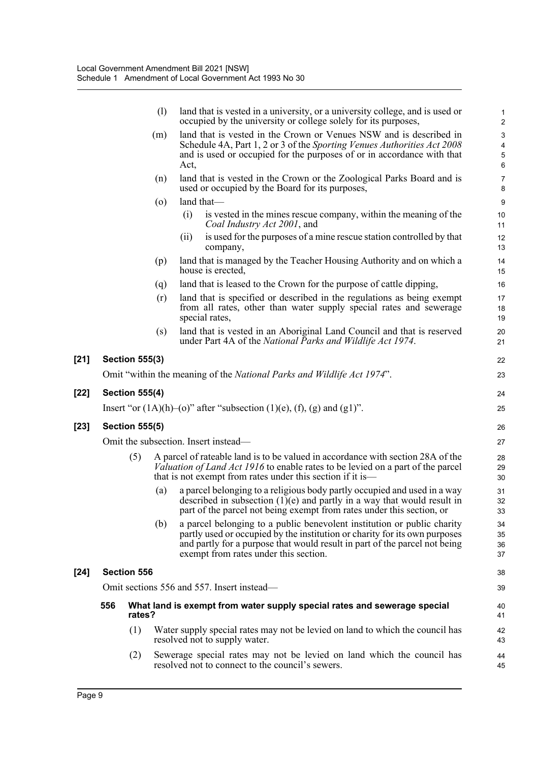|        |     |                       | (1)     | land that is vested in a university, or a university college, and is used or<br>occupied by the university or college solely for its purposes,                                                                                                                               | $\mathbf{1}$<br>$\overline{2}$                   |
|--------|-----|-----------------------|---------|------------------------------------------------------------------------------------------------------------------------------------------------------------------------------------------------------------------------------------------------------------------------------|--------------------------------------------------|
|        |     |                       | (m)     | land that is vested in the Crown or Venues NSW and is described in<br>Schedule 4A, Part 1, 2 or 3 of the Sporting Venues Authorities Act 2008<br>and is used or occupied for the purposes of or in accordance with that<br>Act,                                              | $\sqrt{3}$<br>$\overline{4}$<br>$\mathbf 5$<br>6 |
|        |     |                       | (n)     | land that is vested in the Crown or the Zoological Parks Board and is<br>used or occupied by the Board for its purposes,                                                                                                                                                     | $\overline{7}$<br>8                              |
|        |     |                       | $\circ$ | land that-                                                                                                                                                                                                                                                                   | $\boldsymbol{9}$                                 |
|        |     |                       |         | is vested in the mines rescue company, within the meaning of the<br>(i)<br>Coal Industry Act 2001, and                                                                                                                                                                       | 10<br>11                                         |
|        |     |                       |         | is used for the purposes of a mine rescue station controlled by that<br>(i)<br>company,                                                                                                                                                                                      | 12<br>13                                         |
|        |     |                       | (p)     | land that is managed by the Teacher Housing Authority and on which a<br>house is erected,                                                                                                                                                                                    | 14<br>15                                         |
|        |     |                       | (q)     | land that is leased to the Crown for the purpose of cattle dipping,                                                                                                                                                                                                          | 16                                               |
|        |     |                       | (r)     | land that is specified or described in the regulations as being exempt<br>from all rates, other than water supply special rates and sewerage<br>special rates,                                                                                                               | 17<br>18<br>19                                   |
|        |     |                       | (s)     | land that is vested in an Aboriginal Land Council and that is reserved<br>under Part 4A of the National Parks and Wildlife Act 1974.                                                                                                                                         | 20<br>21                                         |
| $[21]$ |     | <b>Section 555(3)</b> |         |                                                                                                                                                                                                                                                                              | 22                                               |
|        |     |                       |         | Omit "within the meaning of the National Parks and Wildlife Act 1974".                                                                                                                                                                                                       | 23                                               |
| $[22]$ |     | <b>Section 555(4)</b> |         |                                                                                                                                                                                                                                                                              | 24                                               |
|        |     |                       |         | Insert "or $(1A)(h)$ –(o)" after "subsection $(1)(e)$ , $(f)$ , $(g)$ and $(g1)$ ".                                                                                                                                                                                          | 25                                               |
| $[23]$ |     | <b>Section 555(5)</b> |         |                                                                                                                                                                                                                                                                              | 26                                               |
|        |     |                       |         | Omit the subsection. Insert instead—                                                                                                                                                                                                                                         | 27                                               |
|        |     | (5)                   |         | A parcel of rateable land is to be valued in accordance with section 28A of the<br><i>Valuation of Land Act 1916</i> to enable rates to be levied on a part of the parcel<br>that is not exempt from rates under this section if it is—                                      | 28<br>29<br>30                                   |
|        |     |                       | (a)     | a parcel belonging to a religious body partly occupied and used in a way<br>described in subsection $(1)(e)$ and partly in a way that would result in<br>part of the parcel not being exempt from rates under this section, or                                               | 31<br>32<br>33                                   |
|        |     |                       | (b)     | a parcel belonging to a public benevolent institution or public charity<br>partly used or occupied by the institution or charity for its own purposes<br>and partly for a purpose that would result in part of the parcel not being<br>exempt from rates under this section. | 34<br>35<br>36<br>37                             |
| $[24]$ |     | Section 556           |         |                                                                                                                                                                                                                                                                              | 38                                               |
|        |     |                       |         | Omit sections 556 and 557. Insert instead—                                                                                                                                                                                                                                   | 39                                               |
|        | 556 | rates?                |         | What land is exempt from water supply special rates and sewerage special                                                                                                                                                                                                     | 40<br>41                                         |
|        |     | (1)                   |         | Water supply special rates may not be levied on land to which the council has<br>resolved not to supply water.                                                                                                                                                               | 42<br>43                                         |
|        |     | (2)                   |         | Sewerage special rates may not be levied on land which the council has<br>resolved not to connect to the council's sewers.                                                                                                                                                   | 44<br>45                                         |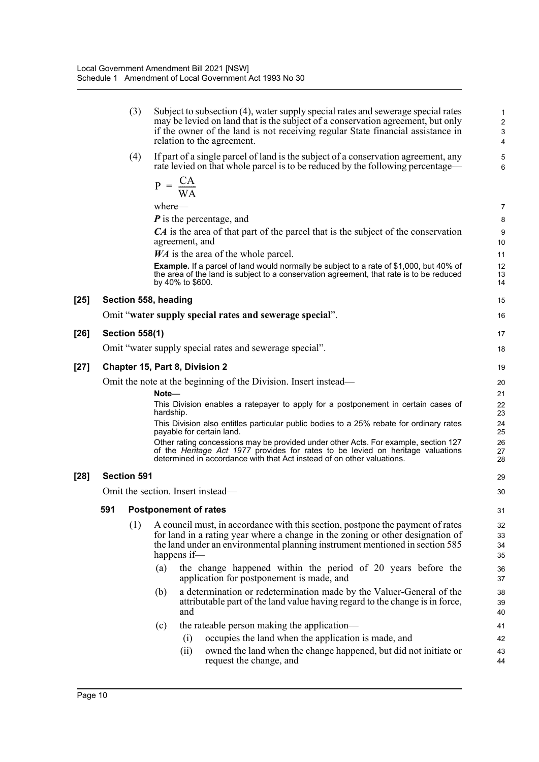|     | (3)                   | Subject to subsection (4), water supply special rates and sewerage special rates<br>may be levied on land that is the subject of a conservation agreement, but only<br>if the owner of the land is not receiving regular State financial assistance in<br>relation to the agreement. | 1<br>$\overline{\mathbf{c}}$<br>3<br>4 |
|-----|-----------------------|--------------------------------------------------------------------------------------------------------------------------------------------------------------------------------------------------------------------------------------------------------------------------------------|----------------------------------------|
|     | (4)                   | If part of a single parcel of land is the subject of a conservation agreement, any<br>rate levied on that whole parcel is to be reduced by the following percentage—                                                                                                                 | 5<br>6                                 |
|     |                       | $P = \frac{CA}{WA}$                                                                                                                                                                                                                                                                  |                                        |
|     |                       | where—                                                                                                                                                                                                                                                                               | 7                                      |
|     |                       | $P$ is the percentage, and                                                                                                                                                                                                                                                           | 8                                      |
|     |                       | CA is the area of that part of the parcel that is the subject of the conservation<br>agreement, and                                                                                                                                                                                  | 9<br>10                                |
|     |                       | <i>WA</i> is the area of the whole parcel.                                                                                                                                                                                                                                           | 11                                     |
|     |                       | <b>Example.</b> If a parcel of land would normally be subject to a rate of \$1,000, but 40% of<br>the area of the land is subject to a conservation agreement, that rate is to be reduced<br>by 40% to \$600.                                                                        | 12<br>13<br>14                         |
|     |                       | Section 558, heading                                                                                                                                                                                                                                                                 | 15                                     |
|     |                       | Omit "water supply special rates and sewerage special".                                                                                                                                                                                                                              | 16                                     |
|     | <b>Section 558(1)</b> |                                                                                                                                                                                                                                                                                      | 17                                     |
|     |                       | Omit "water supply special rates and sewerage special".                                                                                                                                                                                                                              | 18                                     |
|     |                       | <b>Chapter 15, Part 8, Division 2</b>                                                                                                                                                                                                                                                | 19                                     |
|     |                       | Omit the note at the beginning of the Division. Insert instead—                                                                                                                                                                                                                      | 20                                     |
|     |                       | Note-                                                                                                                                                                                                                                                                                | 21                                     |
|     |                       | This Division enables a ratepayer to apply for a postponement in certain cases of<br>hardship.                                                                                                                                                                                       | 22<br>23                               |
|     |                       | This Division also entitles particular public bodies to a 25% rebate for ordinary rates<br>payable for certain land.                                                                                                                                                                 | 24<br>25                               |
|     |                       | Other rating concessions may be provided under other Acts. For example, section 127<br>of the Heritage Act 1977 provides for rates to be levied on heritage valuations<br>determined in accordance with that Act instead of on other valuations.                                     | 26<br>27<br>28                         |
|     | <b>Section 591</b>    |                                                                                                                                                                                                                                                                                      | 29                                     |
|     |                       | Omit the section. Insert instead—                                                                                                                                                                                                                                                    | 30                                     |
| 591 |                       | <b>Postponement of rates</b>                                                                                                                                                                                                                                                         | 31                                     |
|     | (1)                   | A council must, in accordance with this section, postpone the payment of rates                                                                                                                                                                                                       | 32                                     |
|     |                       | for land in a rating year where a change in the zoning or other designation of                                                                                                                                                                                                       | 33                                     |
|     |                       | the land under an environmental planning instrument mentioned in section 585<br>happens if-                                                                                                                                                                                          | 34<br>35                               |
|     |                       | (a)<br>the change happened within the period of 20 years before the                                                                                                                                                                                                                  | 36                                     |
|     |                       | application for postponement is made, and                                                                                                                                                                                                                                            | 37                                     |
|     |                       | a determination or redetermination made by the Valuer-General of the<br>(b)                                                                                                                                                                                                          | 38                                     |
|     |                       | attributable part of the land value having regard to the change is in force,<br>and                                                                                                                                                                                                  | 39<br>40                               |
|     |                       | the rateable person making the application—<br>(c)                                                                                                                                                                                                                                   | 41                                     |
|     |                       | occupies the land when the application is made, and<br>(i)                                                                                                                                                                                                                           | 42                                     |
|     |                       | owned the land when the change happened, but did not initiate or<br>(ii)<br>request the change, and                                                                                                                                                                                  | 43<br>44                               |
|     |                       |                                                                                                                                                                                                                                                                                      |                                        |

[25]

**[26] Section 558(1)**

[27]

[28]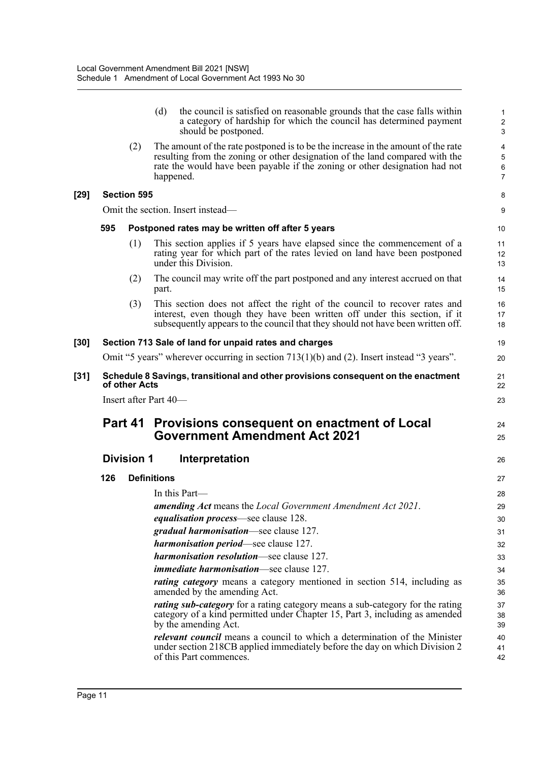|        |     |                       | (d)                | the council is satisfied on reasonable grounds that the case falls within<br>a category of hardship for which the council has determined payment<br>should be postponed.                                                                                     | 1<br>$\overline{c}$<br>$\mathbf{3}$ |
|--------|-----|-----------------------|--------------------|--------------------------------------------------------------------------------------------------------------------------------------------------------------------------------------------------------------------------------------------------------------|-------------------------------------|
|        |     | (2)                   |                    | The amount of the rate postponed is to be the increase in the amount of the rate<br>resulting from the zoning or other designation of the land compared with the<br>rate the would have been payable if the zoning or other designation had not<br>happened. | 4<br>5<br>6<br>$\overline{7}$       |
| $[29]$ |     | <b>Section 595</b>    |                    |                                                                                                                                                                                                                                                              | 8                                   |
|        |     |                       |                    | Omit the section. Insert instead—                                                                                                                                                                                                                            | 9                                   |
|        | 595 |                       |                    | Postponed rates may be written off after 5 years                                                                                                                                                                                                             | 10                                  |
|        |     | (1)                   |                    | This section applies if 5 years have elapsed since the commencement of a<br>rating year for which part of the rates levied on land have been postponed<br>under this Division.                                                                               | 11<br>12<br>13                      |
|        |     | (2)                   | part.              | The council may write off the part postponed and any interest accrued on that                                                                                                                                                                                | 14<br>15                            |
|        |     | (3)                   |                    | This section does not affect the right of the council to recover rates and<br>interest, even though they have been written off under this section, if it<br>subsequently appears to the council that they should not have been written off.                  | 16<br>17<br>18                      |
| $[30]$ |     |                       |                    | Section 713 Sale of land for unpaid rates and charges                                                                                                                                                                                                        | 19                                  |
|        |     |                       |                    | Omit "5 years" wherever occurring in section $713(1)(b)$ and (2). Insert instead "3 years".                                                                                                                                                                  | 20                                  |
| $[31]$ |     | of other Acts         |                    | Schedule 8 Savings, transitional and other provisions consequent on the enactment                                                                                                                                                                            | 21<br>22                            |
|        |     | Insert after Part 40- |                    |                                                                                                                                                                                                                                                              | 23                                  |
|        |     |                       |                    |                                                                                                                                                                                                                                                              |                                     |
|        |     | Part 41               |                    | Provisions consequent on enactment of Local<br><b>Government Amendment Act 2021</b>                                                                                                                                                                          | 24<br>25                            |
|        |     | <b>Division 1</b>     |                    | Interpretation                                                                                                                                                                                                                                               | 26                                  |
|        | 126 |                       | <b>Definitions</b> |                                                                                                                                                                                                                                                              | 27                                  |
|        |     |                       |                    | In this Part-                                                                                                                                                                                                                                                | 28                                  |
|        |     |                       |                    | <b>amending Act</b> means the Local Government Amendment Act 2021.                                                                                                                                                                                           | 29                                  |
|        |     |                       |                    | <i>equalisation process</i> —see clause 128.                                                                                                                                                                                                                 | 30                                  |
|        |     |                       |                    | gradual harmonisation-see clause 127.                                                                                                                                                                                                                        | 31                                  |
|        |     |                       |                    | harmonisation period-see clause 127.                                                                                                                                                                                                                         | 32                                  |
|        |     |                       |                    | <i>harmonisation resolution</i> —see clause 127.                                                                                                                                                                                                             | 33                                  |
|        |     |                       |                    | <i>immediate harmonisation</i> —see clause 127.                                                                                                                                                                                                              | 34                                  |
|        |     |                       |                    | <i>rating category</i> means a category mentioned in section 514, including as<br>amended by the amending Act.                                                                                                                                               | 35<br>36                            |
|        |     |                       |                    | <i>rating sub-category</i> for a rating category means a sub-category for the rating<br>category of a kind permitted under Chapter 15, Part 3, including as amended<br>by the amending Act.                                                                  | 37<br>38<br>39                      |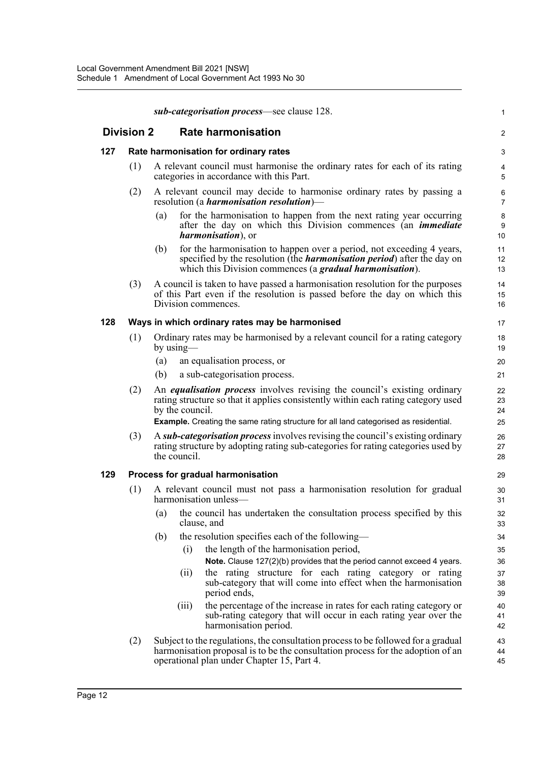|     |                   | sub-categorisation process—see clause 128.                                                                                                                                                                                  | $\mathbf{1}$                |
|-----|-------------------|-----------------------------------------------------------------------------------------------------------------------------------------------------------------------------------------------------------------------------|-----------------------------|
|     | <b>Division 2</b> | <b>Rate harmonisation</b>                                                                                                                                                                                                   | $\overline{2}$              |
| 127 |                   | Rate harmonisation for ordinary rates                                                                                                                                                                                       | 3                           |
|     | (1)               | A relevant council must harmonise the ordinary rates for each of its rating<br>categories in accordance with this Part.                                                                                                     | 4<br>5                      |
|     | (2)               | A relevant council may decide to harmonise ordinary rates by passing a<br>resolution (a <i>harmonisation resolution</i> )—                                                                                                  | 6<br>$\overline{7}$         |
|     |                   | for the harmonisation to happen from the next rating year occurring<br>(a)<br>after the day on which this Division commences (an <i>immediate</i><br><i>harmonisation</i> ), or                                             | 8<br>9<br>10 <sup>°</sup>   |
|     |                   | for the harmonisation to happen over a period, not exceeding 4 years,<br>(b)<br>specified by the resolution (the <i>harmonisation period</i> ) after the day on<br>which this Division commences (a gradual harmonisation). | 11<br>12 <sup>2</sup><br>13 |
|     | (3)               | A council is taken to have passed a harmonisation resolution for the purposes<br>of this Part even if the resolution is passed before the day on which this<br>Division commences.                                          | 14<br>15<br>16              |
| 128 |                   | Ways in which ordinary rates may be harmonised                                                                                                                                                                              | 17                          |
|     | (1)               | Ordinary rates may be harmonised by a relevant council for a rating category<br>by using—                                                                                                                                   | 18<br>19                    |
|     |                   | (a)<br>an equalisation process, or                                                                                                                                                                                          | 20                          |
|     |                   | a sub-categorisation process.<br>(b)                                                                                                                                                                                        | 21                          |
|     | (2)               | An <i>equalisation process</i> involves revising the council's existing ordinary<br>rating structure so that it applies consistently within each rating category used<br>by the council.                                    | 22<br>23<br>24              |
|     |                   | <b>Example.</b> Creating the same rating structure for all land categorised as residential.                                                                                                                                 | 25                          |
|     | (3)               | A sub-categorisation process involves revising the council's existing ordinary<br>rating structure by adopting rating sub-categories for rating categories used by<br>the council.                                          | 26<br>27<br>28              |
| 129 |                   | Process for gradual harmonisation                                                                                                                                                                                           | 29                          |
|     | (1)               | A relevant council must not pass a harmonisation resolution for gradual<br>harmonisation unless-                                                                                                                            | 30<br>31                    |
|     |                   | (a) the council has undertaken the consultation process specified by this<br>clause, and                                                                                                                                    | 32<br>33                    |
|     |                   | the resolution specifies each of the following—<br>(b)                                                                                                                                                                      | 34                          |
|     |                   | the length of the harmonisation period,<br>(i)<br>Note. Clause 127(2)(b) provides that the period cannot exceed 4 years.                                                                                                    | 35<br>36                    |
|     |                   | the rating structure for each rating category or rating<br>(ii)                                                                                                                                                             | 37                          |
|     |                   | sub-category that will come into effect when the harmonisation<br>period ends,                                                                                                                                              | 38<br>39                    |
|     |                   | the percentage of the increase in rates for each rating category or<br>(iii)<br>sub-rating category that will occur in each rating year over the<br>harmonisation period.                                                   | 40<br>41<br>42              |
|     | (2)               | Subject to the regulations, the consultation process to be followed for a gradual<br>harmonisation proposal is to be the consultation process for the adoption of an<br>operational plan under Chapter 15, Part 4.          | 43<br>44<br>45              |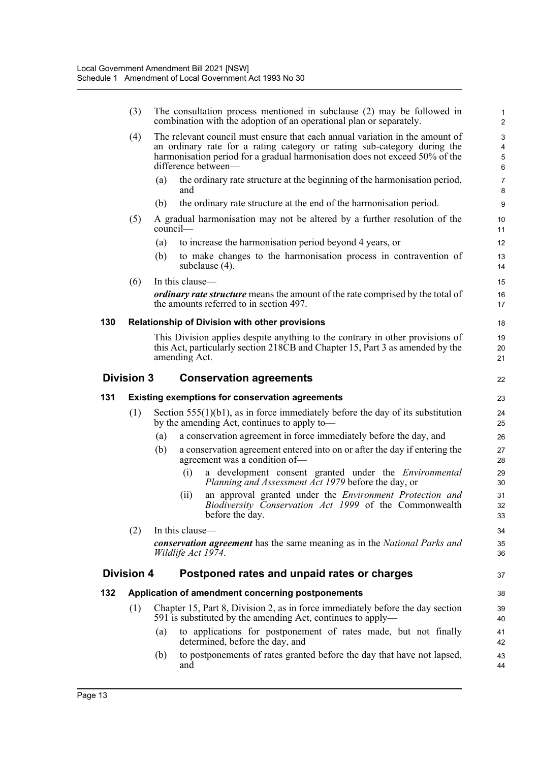|     | (3)               |          |                    | The consultation process mentioned in subclause (2) may be followed in<br>combination with the adoption of an operational plan or separately.                                                                                                                  | 1<br>$\overline{c}$ |
|-----|-------------------|----------|--------------------|----------------------------------------------------------------------------------------------------------------------------------------------------------------------------------------------------------------------------------------------------------------|---------------------|
|     | (4)               |          |                    | The relevant council must ensure that each annual variation in the amount of<br>an ordinary rate for a rating category or rating sub-category during the<br>harmonisation period for a gradual harmonisation does not exceed 50% of the<br>difference between- | 3<br>4<br>5<br>6    |
|     |                   | (a)      | and                | the ordinary rate structure at the beginning of the harmonisation period,                                                                                                                                                                                      | $\overline{7}$<br>8 |
|     |                   | (b)      |                    | the ordinary rate structure at the end of the harmonisation period.                                                                                                                                                                                            | $9\,$               |
|     | (5)               | council- |                    | A gradual harmonisation may not be altered by a further resolution of the                                                                                                                                                                                      | 10<br>11            |
|     |                   | (a)      |                    | to increase the harmonisation period beyond 4 years, or                                                                                                                                                                                                        | 12                  |
|     |                   | (b)      |                    | to make changes to the harmonisation process in contravention of<br>subclause $(4)$ .                                                                                                                                                                          | 13<br>14            |
|     | (6)               |          | In this clause-    |                                                                                                                                                                                                                                                                | 15                  |
|     |                   |          |                    | <i>ordinary rate structure</i> means the amount of the rate comprised by the total of<br>the amounts referred to in section 497.                                                                                                                               | 16<br>17            |
| 130 |                   |          |                    | Relationship of Division with other provisions                                                                                                                                                                                                                 | 18                  |
|     |                   |          | amending Act.      | This Division applies despite anything to the contrary in other provisions of<br>this Act, particularly section 218CB and Chapter 15, Part 3 as amended by the                                                                                                 | 19<br>20<br>21      |
|     | <b>Division 3</b> |          |                    | <b>Conservation agreements</b>                                                                                                                                                                                                                                 | 22                  |
|     |                   |          |                    |                                                                                                                                                                                                                                                                |                     |
| 131 |                   |          |                    | <b>Existing exemptions for conservation agreements</b>                                                                                                                                                                                                         | 23                  |
|     | (1)               |          |                    | Section $555(1)(b1)$ , as in force immediately before the day of its substitution<br>by the amending Act, continues to apply to—                                                                                                                               | 24<br>25            |
|     |                   | (a)      |                    | a conservation agreement in force immediately before the day, and                                                                                                                                                                                              | 26                  |
|     |                   | (b)      |                    | a conservation agreement entered into on or after the day if entering the<br>agreement was a condition of-                                                                                                                                                     | 27<br>28            |
|     |                   |          | (i)                | a development consent granted under the <i>Environmental</i><br><i>Planning and Assessment Act 1979</i> before the day, or                                                                                                                                     | 29<br>30            |
|     |                   |          | (i)                | an approval granted under the Environment Protection and<br>Biodiversity Conservation Act 1999 of the Commonwealth<br>before the day.                                                                                                                          | 31<br>32<br>33      |
|     | (2)               |          | In this clause-    |                                                                                                                                                                                                                                                                | 34                  |
|     |                   |          | Wildlife Act 1974. | <b>conservation agreement</b> has the same meaning as in the <i>National Parks and</i>                                                                                                                                                                         | 35<br>36            |
|     | <b>Division 4</b> |          |                    | Postponed rates and unpaid rates or charges                                                                                                                                                                                                                    | 37                  |
| 132 |                   |          |                    | Application of amendment concerning postponements                                                                                                                                                                                                              | 38                  |
|     | (1)               |          |                    | Chapter 15, Part 8, Division 2, as in force immediately before the day section<br>591 is substituted by the amending Act, continues to apply—                                                                                                                  | 39<br>40            |
|     |                   | (a)      |                    | to applications for postponement of rates made, but not finally<br>determined, before the day, and                                                                                                                                                             | 41<br>42            |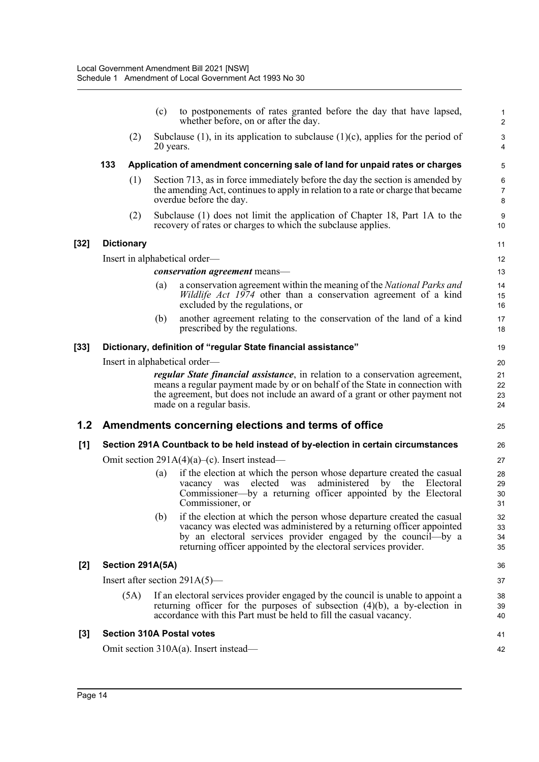|       |                                                                                   |                   | (c)                                                                                                                                                                                          | to postponements of rates granted before the day that have lapsed,<br>whether before, on or after the day.                                                                                                                                                                          | $\mathbf{1}$<br>$\overline{2}$ |  |  |  |
|-------|-----------------------------------------------------------------------------------|-------------------|----------------------------------------------------------------------------------------------------------------------------------------------------------------------------------------------|-------------------------------------------------------------------------------------------------------------------------------------------------------------------------------------------------------------------------------------------------------------------------------------|--------------------------------|--|--|--|
|       |                                                                                   | (2)               |                                                                                                                                                                                              | Subclause $(1)$ , in its application to subclause $(1)(c)$ , applies for the period of<br>20 years.                                                                                                                                                                                 |                                |  |  |  |
|       | 133                                                                               |                   |                                                                                                                                                                                              | Application of amendment concerning sale of land for unpaid rates or charges                                                                                                                                                                                                        | 5                              |  |  |  |
|       |                                                                                   | (1)               | Section 713, as in force immediately before the day the section is amended by<br>the amending Act, continues to apply in relation to a rate or charge that became<br>overdue before the day. |                                                                                                                                                                                                                                                                                     |                                |  |  |  |
|       |                                                                                   | (2)               |                                                                                                                                                                                              | Subclause (1) does not limit the application of Chapter 18, Part 1A to the<br>recovery of rates or charges to which the subclause applies.                                                                                                                                          | 9<br>10                        |  |  |  |
| [32]  |                                                                                   | <b>Dictionary</b> |                                                                                                                                                                                              |                                                                                                                                                                                                                                                                                     | 11                             |  |  |  |
|       |                                                                                   |                   |                                                                                                                                                                                              | Insert in alphabetical order—                                                                                                                                                                                                                                                       | 12                             |  |  |  |
|       |                                                                                   |                   |                                                                                                                                                                                              | <i>conservation agreement</i> means-                                                                                                                                                                                                                                                | 13                             |  |  |  |
|       |                                                                                   |                   | (a)                                                                                                                                                                                          | a conservation agreement within the meaning of the National Parks and<br>Wildlife Act 1974 other than a conservation agreement of a kind<br>excluded by the regulations, or                                                                                                         | 14<br>15<br>16                 |  |  |  |
|       |                                                                                   |                   | (b)                                                                                                                                                                                          | another agreement relating to the conservation of the land of a kind<br>prescribed by the regulations.                                                                                                                                                                              | 17<br>18                       |  |  |  |
| [33]  |                                                                                   |                   |                                                                                                                                                                                              | Dictionary, definition of "regular State financial assistance"                                                                                                                                                                                                                      | 19                             |  |  |  |
|       |                                                                                   |                   |                                                                                                                                                                                              | Insert in alphabetical order-                                                                                                                                                                                                                                                       | 20                             |  |  |  |
|       |                                                                                   |                   |                                                                                                                                                                                              | <i>regular State financial assistance</i> , in relation to a conservation agreement,<br>means a regular payment made by or on behalf of the State in connection with<br>the agreement, but does not include an award of a grant or other payment not<br>made on a regular basis.    | 21<br>22<br>23<br>24           |  |  |  |
| 1.2   |                                                                                   |                   |                                                                                                                                                                                              | Amendments concerning elections and terms of office                                                                                                                                                                                                                                 | 25                             |  |  |  |
| $[1]$ | Section 291A Countback to be held instead of by-election in certain circumstances |                   |                                                                                                                                                                                              |                                                                                                                                                                                                                                                                                     |                                |  |  |  |
|       |                                                                                   |                   |                                                                                                                                                                                              | Omit section $291A(4)(a)$ –(c). Insert instead—                                                                                                                                                                                                                                     | 27                             |  |  |  |
|       |                                                                                   |                   | (a)                                                                                                                                                                                          | if the election at which the person whose departure created the casual<br>vacancy was elected was<br>administered<br>by the<br>Electoral<br>Commissioner—by a returning officer appointed by the Electoral<br>Commissioner, or                                                      | 28<br>29<br>30<br>31           |  |  |  |
|       |                                                                                   |                   | (b)                                                                                                                                                                                          | if the election at which the person whose departure created the casual<br>vacancy was elected was administered by a returning officer appointed<br>by an electoral services provider engaged by the council—by a<br>returning officer appointed by the electoral services provider. | 32<br>33<br>34<br>35           |  |  |  |
| $[2]$ | Section 291A(5A)                                                                  |                   |                                                                                                                                                                                              |                                                                                                                                                                                                                                                                                     |                                |  |  |  |
|       |                                                                                   |                   |                                                                                                                                                                                              | Insert after section $291A(5)$ —                                                                                                                                                                                                                                                    | 37                             |  |  |  |
|       |                                                                                   | (5A)              |                                                                                                                                                                                              | If an electoral services provider engaged by the council is unable to appoint a<br>returning officer for the purposes of subsection $(4)(b)$ , a by-election in<br>accordance with this Part must be held to fill the casual vacancy.                                               | 38<br>39<br>40                 |  |  |  |
| $[3]$ | <b>Section 310A Postal votes</b>                                                  |                   |                                                                                                                                                                                              |                                                                                                                                                                                                                                                                                     |                                |  |  |  |
|       |                                                                                   |                   |                                                                                                                                                                                              | Omit section $310A(a)$ . Insert instead—                                                                                                                                                                                                                                            | 41<br>42                       |  |  |  |
|       |                                                                                   |                   |                                                                                                                                                                                              |                                                                                                                                                                                                                                                                                     |                                |  |  |  |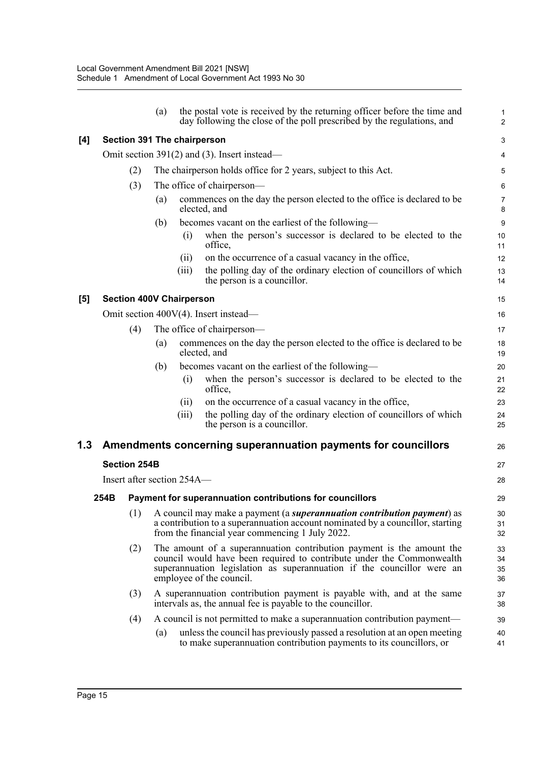|     |                                                               |                                 | (a)                                                                                                                                                                                                          |                                                  | the postal vote is received by the returning officer before the time and<br>day following the close of the poll prescribed by the regulations, and                                                                                                   | $\mathbf{1}$<br>$\overline{c}$ |  |  |  |  |  |  |
|-----|---------------------------------------------------------------|---------------------------------|--------------------------------------------------------------------------------------------------------------------------------------------------------------------------------------------------------------|--------------------------------------------------|------------------------------------------------------------------------------------------------------------------------------------------------------------------------------------------------------------------------------------------------------|--------------------------------|--|--|--|--|--|--|
| [4] |                                                               |                                 |                                                                                                                                                                                                              |                                                  | Section 391 The chairperson                                                                                                                                                                                                                          | 3                              |  |  |  |  |  |  |
|     | Omit section $391(2)$ and (3). Insert instead—                |                                 |                                                                                                                                                                                                              |                                                  |                                                                                                                                                                                                                                                      |                                |  |  |  |  |  |  |
|     |                                                               | (2)                             |                                                                                                                                                                                                              |                                                  | The chairperson holds office for 2 years, subject to this Act.                                                                                                                                                                                       | 5                              |  |  |  |  |  |  |
|     |                                                               | The office of chairperson—      | 6                                                                                                                                                                                                            |                                                  |                                                                                                                                                                                                                                                      |                                |  |  |  |  |  |  |
|     |                                                               |                                 | commences on the day the person elected to the office is declared to be<br>$\left( a\right)$<br>elected, and                                                                                                 |                                                  |                                                                                                                                                                                                                                                      |                                |  |  |  |  |  |  |
|     |                                                               |                                 | (b)                                                                                                                                                                                                          | becomes vacant on the earliest of the following— |                                                                                                                                                                                                                                                      |                                |  |  |  |  |  |  |
|     |                                                               |                                 |                                                                                                                                                                                                              | (i)                                              | when the person's successor is declared to be elected to the<br>office,                                                                                                                                                                              | 10<br>11                       |  |  |  |  |  |  |
|     |                                                               |                                 |                                                                                                                                                                                                              | (i)                                              | on the occurrence of a casual vacancy in the office,                                                                                                                                                                                                 | 12                             |  |  |  |  |  |  |
|     |                                                               |                                 |                                                                                                                                                                                                              | (iii)                                            | the polling day of the ordinary election of councillors of which<br>the person is a councillor.                                                                                                                                                      | 13<br>14                       |  |  |  |  |  |  |
| [5] |                                                               | <b>Section 400V Chairperson</b> |                                                                                                                                                                                                              |                                                  |                                                                                                                                                                                                                                                      | 15                             |  |  |  |  |  |  |
|     |                                                               |                                 |                                                                                                                                                                                                              |                                                  | Omit section 400V(4). Insert instead—                                                                                                                                                                                                                | 16                             |  |  |  |  |  |  |
|     |                                                               | (4)                             |                                                                                                                                                                                                              |                                                  | The office of chairperson—                                                                                                                                                                                                                           | 17                             |  |  |  |  |  |  |
|     |                                                               |                                 | (a)                                                                                                                                                                                                          |                                                  | commences on the day the person elected to the office is declared to be<br>elected, and                                                                                                                                                              | 18<br>19                       |  |  |  |  |  |  |
|     |                                                               |                                 | (b)                                                                                                                                                                                                          |                                                  | becomes vacant on the earliest of the following—                                                                                                                                                                                                     | 20                             |  |  |  |  |  |  |
|     |                                                               |                                 |                                                                                                                                                                                                              | (i)                                              | when the person's successor is declared to be elected to the<br>office,                                                                                                                                                                              | 21<br>22                       |  |  |  |  |  |  |
|     |                                                               |                                 |                                                                                                                                                                                                              | (i)                                              | on the occurrence of a casual vacancy in the office,                                                                                                                                                                                                 | 23                             |  |  |  |  |  |  |
|     |                                                               |                                 |                                                                                                                                                                                                              | (iii)                                            | the polling day of the ordinary election of councillors of which<br>the person is a councillor.                                                                                                                                                      | 24<br>25                       |  |  |  |  |  |  |
| 1.3 | Amendments concerning superannuation payments for councillors |                                 |                                                                                                                                                                                                              |                                                  |                                                                                                                                                                                                                                                      |                                |  |  |  |  |  |  |
|     |                                                               |                                 | <b>Section 254B</b>                                                                                                                                                                                          |                                                  |                                                                                                                                                                                                                                                      |                                |  |  |  |  |  |  |
|     |                                                               | Insert after section 254A—      |                                                                                                                                                                                                              |                                                  |                                                                                                                                                                                                                                                      | 28                             |  |  |  |  |  |  |
|     | 254B                                                          |                                 |                                                                                                                                                                                                              |                                                  | Payment for superannuation contributions for councillors                                                                                                                                                                                             | 29                             |  |  |  |  |  |  |
|     |                                                               | (1)                             | A council may make a payment (a superannuation contribution payment) as<br>a contribution to a superannuation account nominated by a councillor, starting<br>from the financial year commencing 1 July 2022. |                                                  |                                                                                                                                                                                                                                                      |                                |  |  |  |  |  |  |
|     |                                                               | (2)                             |                                                                                                                                                                                                              |                                                  | The amount of a superannuation contribution payment is the amount the<br>council would have been required to contribute under the Commonwealth<br>superannuation legislation as superannuation if the councillor were an<br>employee of the council. | 33<br>34<br>35<br>36           |  |  |  |  |  |  |
|     |                                                               | (3)                             |                                                                                                                                                                                                              |                                                  | A superannuation contribution payment is payable with, and at the same<br>intervals as, the annual fee is payable to the councillor.                                                                                                                 | 37<br>38                       |  |  |  |  |  |  |
|     |                                                               | (4)                             |                                                                                                                                                                                                              |                                                  | A council is not permitted to make a superannuation contribution payment-                                                                                                                                                                            | 39                             |  |  |  |  |  |  |
|     |                                                               |                                 | (a)                                                                                                                                                                                                          |                                                  | unless the council has previously passed a resolution at an open meeting<br>to make superannuation contribution payments to its councillors, or                                                                                                      | 40<br>41                       |  |  |  |  |  |  |